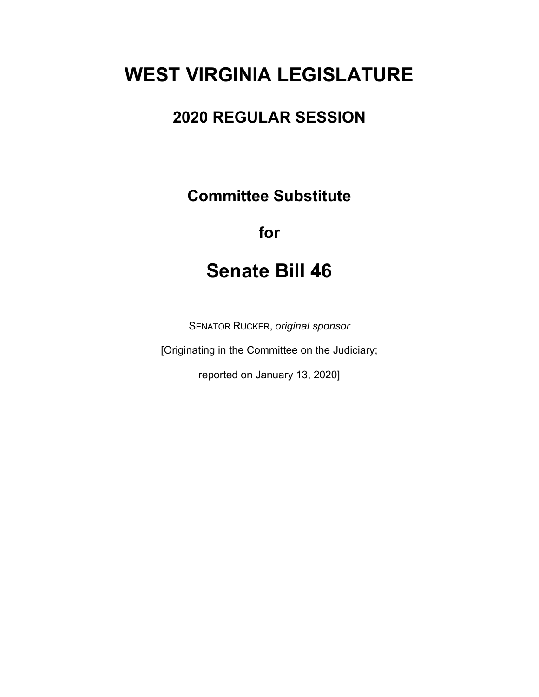# **WEST VIRGINIA LEGISLATURE**

## **2020 REGULAR SESSION**

**Committee Substitute**

## **for**

# **Senate Bill 46**

SENATOR RUCKER, *original sponsor*

[Originating in the Committee on the Judiciary;

reported on January 13, 2020]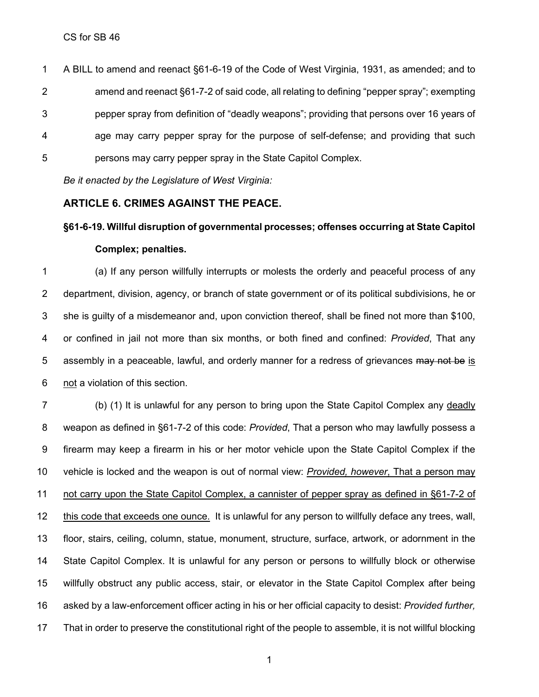A BILL to amend and reenact §61-6-19 of the Code of West Virginia, 1931, as amended; and to amend and reenact §61-7-2 of said code, all relating to defining "pepper spray"; exempting pepper spray from definition of "deadly weapons"; providing that persons over 16 years of age may carry pepper spray for the purpose of self-defense; and providing that such persons may carry pepper spray in the State Capitol Complex.

*Be it enacted by the Legislature of West Virginia:*

### **ARTICLE 6. CRIMES AGAINST THE PEACE.**

### **§61-6-19. Willful disruption of governmental processes; offenses occurring at State Capitol Complex; penalties.**

 (a) If any person willfully interrupts or molests the orderly and peaceful process of any department, division, agency, or branch of state government or of its political subdivisions, he or she is guilty of a misdemeanor and, upon conviction thereof, shall be fined not more than \$100, or confined in jail not more than six months, or both fined and confined: *Provided*, That any 5 assembly in a peaceable, lawful, and orderly manner for a redress of grievances may not be is not a violation of this section.

 (b) (1) It is unlawful for any person to bring upon the State Capitol Complex any deadly weapon as defined in §61-7-2 of this code: *Provided*, That a person who may lawfully possess a firearm may keep a firearm in his or her motor vehicle upon the State Capitol Complex if the vehicle is locked and the weapon is out of normal view: *Provided, however*, That a person may not carry upon the State Capitol Complex, a cannister of pepper spray as defined in §61-7-2 of this code that exceeds one ounce. It is unlawful for any person to willfully deface any trees, wall, floor, stairs, ceiling, column, statue, monument, structure, surface, artwork, or adornment in the State Capitol Complex. It is unlawful for any person or persons to willfully block or otherwise willfully obstruct any public access, stair, or elevator in the State Capitol Complex after being asked by a law-enforcement officer acting in his or her official capacity to desist: *Provided further,* That in order to preserve the constitutional right of the people to assemble, it is not willful blocking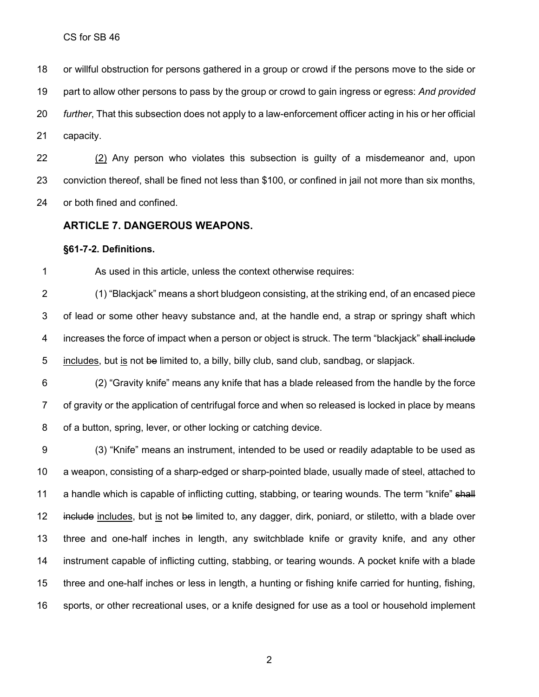or willful obstruction for persons gathered in a group or crowd if the persons move to the side or part to allow other persons to pass by the group or crowd to gain ingress or egress: *And provided further*, That this subsection does not apply to a law-enforcement officer acting in his or her official capacity.

 (2) Any person who violates this subsection is guilty of a misdemeanor and, upon conviction thereof, shall be fined not less than \$100, or confined in jail not more than six months, or both fined and confined.

### **ARTICLE 7. DANGEROUS WEAPONS.**

#### **§61-7-2. Definitions.**

As used in this article, unless the context otherwise requires:

 (1) "Blackjack" means a short bludgeon consisting, at the striking end, of an encased piece of lead or some other heavy substance and, at the handle end, a strap or springy shaft which 4 increases the force of impact when a person or object is struck. The term "blackjack" shall include 5 includes, but is not be limited to, a billy, billy club, sand club, sandbag, or slapjack.

 (2) "Gravity knife" means any knife that has a blade released from the handle by the force of gravity or the application of centrifugal force and when so released is locked in place by means of a button, spring, lever, or other locking or catching device.

 (3) "Knife" means an instrument, intended to be used or readily adaptable to be used as a weapon, consisting of a sharp-edged or sharp-pointed blade, usually made of steel, attached to 11 a handle which is capable of inflicting cutting, stabbing, or tearing wounds. The term "knife" shall 12 include includes, but is not be limited to, any dagger, dirk, poniard, or stiletto, with a blade over three and one-half inches in length, any switchblade knife or gravity knife, and any other instrument capable of inflicting cutting, stabbing, or tearing wounds. A pocket knife with a blade three and one-half inches or less in length, a hunting or fishing knife carried for hunting, fishing, sports, or other recreational uses, or a knife designed for use as a tool or household implement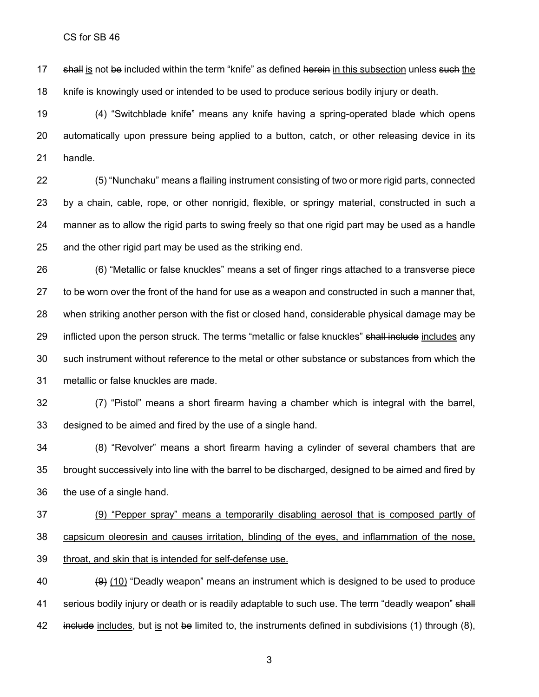17 shall is not be included within the term "knife" as defined herein in this subsection unless such the knife is knowingly used or intended to be used to produce serious bodily injury or death.

 (4) "Switchblade knife" means any knife having a spring-operated blade which opens automatically upon pressure being applied to a button, catch, or other releasing device in its handle.

 (5) "Nunchaku" means a flailing instrument consisting of two or more rigid parts, connected by a chain, cable, rope, or other nonrigid, flexible, or springy material, constructed in such a manner as to allow the rigid parts to swing freely so that one rigid part may be used as a handle and the other rigid part may be used as the striking end.

 (6) "Metallic or false knuckles" means a set of finger rings attached to a transverse piece to be worn over the front of the hand for use as a weapon and constructed in such a manner that, when striking another person with the fist or closed hand, considerable physical damage may be 29 inflicted upon the person struck. The terms "metallic or false knuckles" shall include includes any such instrument without reference to the metal or other substance or substances from which the metallic or false knuckles are made.

 (7) "Pistol" means a short firearm having a chamber which is integral with the barrel, designed to be aimed and fired by the use of a single hand.

 (8) "Revolver" means a short firearm having a cylinder of several chambers that are brought successively into line with the barrel to be discharged, designed to be aimed and fired by the use of a single hand.

 (9) "Pepper spray" means a temporarily disabling aerosol that is composed partly of capsicum oleoresin and causes irritation, blinding of the eyes, and inflammation of the nose, throat, and skin that is intended for self-defense use.

40  $(9)$  (10) "Deadly weapon" means an instrument which is designed to be used to produce 41 serious bodily injury or death or is readily adaptable to such use. The term "deadly weapon" shall 42 include includes, but is not be limited to, the instruments defined in subdivisions (1) through (8),